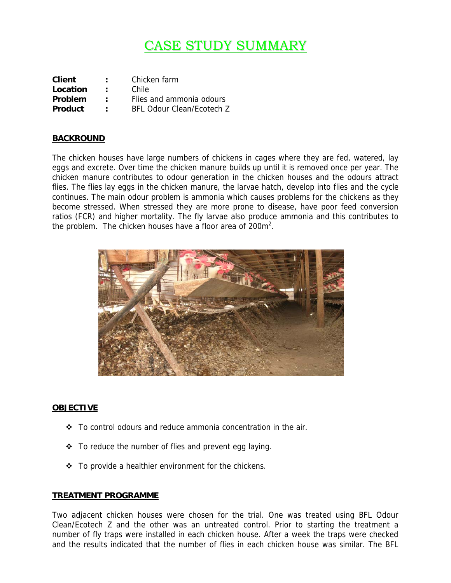# **CASE STUDY SUMMARY**

| <b>Client</b>  | $\ddot{\phantom{a}}$ | Chicken farm              |
|----------------|----------------------|---------------------------|
| Location       | ٠.                   | Chile                     |
| Problem        | ٠.                   | Flies and ammonia odours  |
| <b>Product</b> | $\mathbb{R}^n$       | BFL Odour Clean/Ecotech Z |

### **BACKROUND**

The chicken houses have large numbers of chickens in cages where they are fed, watered, lay eggs and excrete. Over time the chicken manure builds up until it is removed once per year. The chicken manure contributes to odour generation in the chicken houses and the odours attract flies. The flies lay eggs in the chicken manure, the larvae hatch, develop into flies and the cycle continues. The main odour problem is ammonia which causes problems for the chickens as they become stressed. When stressed they are more prone to disease, have poor feed conversion ratios (FCR) and higher mortality. The fly larvae also produce ammonia and this contributes to the problem. The chicken houses have a floor area of 200m<sup>2</sup>.



### **OBJECTIVE**

- $\div$  To control odours and reduce ammonia concentration in the air.
- $\div$  To reduce the number of flies and prevent egg laying.
- $\div$  To provide a healthier environment for the chickens.

### **TREATMENT PROGRAMME**

Two adjacent chicken houses were chosen for the trial. One was treated using BFL Odour Clean/Ecotech Z and the other was an untreated control. Prior to starting the treatment a number of fly traps were installed in each chicken house. After a week the traps were checked and the results indicated that the number of flies in each chicken house was similar. The BFL